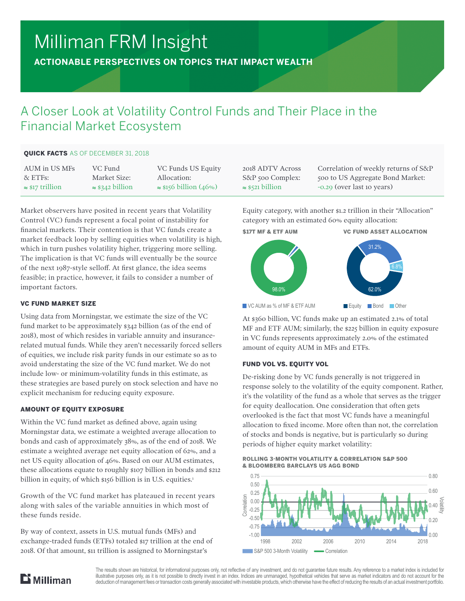# Milliman FRM Insight

**ACTIONABLE PERSPECTIVES ON TOPICS THAT IMPACT WEALTH**

# A Closer Look at Volatility Control Funds and Their Place in the Financial Market Ecosystem

# QUICK FACTS AS OF DECEMBER 31, 2018

| AUM in US MFs           | VC Fund                 | VC Funds US Equity            | 2018 ADTV Ac            |
|-------------------------|-------------------------|-------------------------------|-------------------------|
| $\&$ ETFs:              | Market Size:            | Allocation:                   | S&P 500 Comp            |
| $\approx$ \$17 trillion | $\approx$ \$342 billion | $\approx$ \$156 billion (46%) | $\approx$ \$521 billion |

Market observers have posited in recent years that Volatility Control (VC) funds represent a focal point of instability for financial markets. Their contention is that VC funds create a market feedback loop by selling equities when volatility is high, which in turn pushes volatility higher, triggering more selling. The implication is that VC funds will eventually be the source of the next 1987-style selloff. At first glance, the idea seems feasible; in practice, however, it fails to consider a number of important factors.

# VC FUND MARKET SIZE

Using data from Morningstar, we estimate the size of the VC fund market to be approximately \$342 billion (as of the end of 2018), most of which resides in variable annuity and insurancerelated mutual funds. While they aren't necessarily forced sellers of equities, we include risk parity funds in our estimate so as to avoid understating the size of the VC fund market. We do not include low- or minimum-volatility funds in this estimate, as these strategies are based purely on stock selection and have no explicit mechanism for reducing equity exposure.

# AMOUNT OF EQUITY EXPOSURE

Within the VC fund market as defined above, again using Morningstar data, we estimate a weighted average allocation to bonds and cash of approximately 38%, as of the end of 2018. We estimate a weighted average net equity allocation of 62%, and a net US equity allocation of 46%. Based on our AUM estimates, these allocations equate to roughly \$107 billion in bonds and \$212 billion in equity, of which \$156 billion is in U.S. equities.<sup>1</sup>

Growth of the VC fund market has plateaued in recent years along with sales of the variable annuities in which most of these funds reside.

By way of context, assets in U.S. mutual funds (MFs) and exchange-traded funds (ETFs) totaled \$17 trillion at the end of 2018. Of that amount, \$11 trillion is assigned to Morningstar's

 $r$  oss olex: ≈ \$521 billion

Correlation of weekly returns of S&P 500 to US Aggregate Bond Market: -0.29 (over last 10 years)

Equity category, with another \$1.2 trillion in their "Allocation" category with an estimated 60% equity allocation:



At \$360 billion, VC funds make up an estimated 2.1% of total MF and ETF AUM; similarly, the \$225 billion in equity exposure in VC funds represents approximately 2.0% of the estimated amount of equity AUM in MFs and ETFs.

# FUND VOL VS. EQUITY VOL

De-risking done by VC funds generally is not triggered in response solely to the volatility of the equity component. Rather, it's the volatility of the fund as a whole that serves as the trigger for equity deallocation. One consideration that often gets overlooked is the fact that most VC funds have a meaningful allocation to fixed income. More often than not, the correlation of stocks and bonds is negative, but is particularly so during periods of higher equity market volatility:







The results shown are historical, for informational purposes only, not reflective of any investment, and do not guarantee future results. Any reference to a market index is included for illustrative purposes only, as it is not possible to directly invest in an index. Indices are unmanaged, hypothetical vehicles that serve as market indicators and do not account for the deduction of management fees or transaction costs generally associated with investable products, which otherwise have the effect of reducing the results of an actual investment portfolio.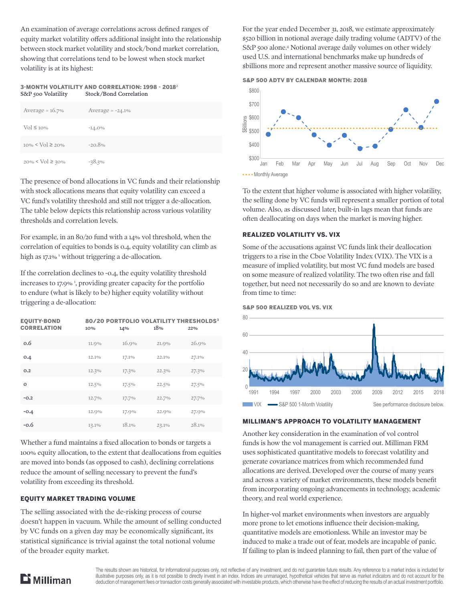An examination of average correlations across defined ranges of equity market volatility offers additional insight into the relationship between stock market volatility and stock/bond market correlation, showing that correlations tend to be lowest when stock market volatility is at its highest:

#### 3-MONTH VOLATILITY AND CORRELATION: 1998 - 2018<sup>2</sup> S&P 500 Volatility Stock/Bond Correlation

| Average = $16.7\%$               | Average $= -24.1\%$ |
|----------------------------------|---------------------|
| $Vol \leq 10\%$                  | $-14.0%$            |
| $10\% \leq \text{Vol} \geq 20\%$ | $-20.8%$            |
| $20\% \le \text{Vol} \ge 30\%$   | $-38.3\%$           |

The presence of bond allocations in VC funds and their relationship with stock allocations means that equity volatility can exceed a VC fund's volatility threshold and still not trigger a de-allocation. The table below depicts this relationship across various volatility thresholds and correlation levels.

For example, in an 80/20 fund with a 14% vol threshold, when the correlation of equities to bonds is 0.4, equity volatility can climb as high as 17.1% <sup>1</sup> without triggering a de-allocation.

If the correlation declines to -0.4, the equity volatility threshold increases to 17.9% 1 , providing greater capacity for the portfolio to endure (what is likely to be) higher equity volatility without triggering a de-allocation:

| <b>EQUITY-BOND</b><br><b>CORRELATION</b> | 10%   | 80/20 PORTFOLIO VOLATILITY THRESHOLDS <sup>3</sup><br>14% | 18%   | 22%   |
|------------------------------------------|-------|-----------------------------------------------------------|-------|-------|
| 0.6                                      | 11.0% | 16.9%                                                     | 21.9% | 26.9% |
| 0.4                                      | 12.1% | 17.1%                                                     | 22.1% | 27.1% |
| 0.2                                      | 12.3% | 17.3%                                                     | 22.3% | 27.3% |
| $\Omega$                                 | 12.5% | 17.5%                                                     | 22.5% | 27.5% |
| $-0.2$                                   | 12.7% | 17.7%                                                     | 22.7% | 27.7% |
| $-0.4$                                   | 12.0% | 17.9%                                                     | 22.9% | 27.9% |
| $-0.6$                                   | 13.1% | 18.1%                                                     | 23.1% | 28.1% |

Whether a fund maintains a fixed allocation to bonds or targets a 100% equity allocation, to the extent that deallocations from equities are moved into bonds (as opposed to cash), declining correlations reduce the amount of selling necessary to prevent the fund's volatility from exceeding its threshold.

# EQUITY MARKET TRADING VOLUME

The selling associated with the de-risking process of course doesn't happen in vacuum. While the amount of selling conducted by VC funds on a given day may be economically significant, its statistical significance is trivial against the total notional volume of the broader equity market.

For the year ended December 31, 2018, we estimate approximately \$520 billion in notional average daily trading volume (ADTV) of the S&P 500 alone.4 Notional average daily volumes on other widely used U.S. and international benchmarks make up hundreds of \$billions more and represent another massive source of liquidity.





To the extent that higher volume is associated with higher volatility, the selling done by VC funds will represent a smaller portion of total volume. Also, as discussed later, built-in lags mean that funds are often deallocating on days when the market is moving higher.

#### REALIZED VOLATILITY VS. VIX

Some of the accusations against VC funds link their deallocation triggers to a rise in the Cboe Volatility Index (VIX). The VIX is a measure of implied volatility, but most VC fund models are based on some measure of realized volatility. The two often rise and fall together, but need not necessarily do so and are known to deviate from time to time:





#### MILLIMAN'S APPROACH TO VOLATILITY MANAGEMENT

Another key consideration in the examination of vol control funds is how the vol management is carried out. Milliman FRM uses sophisticated quantitative models to forecast volatility and generate covariance matrices from which recommended fund allocations are derived. Developed over the course of many years and across a variety of market environments, these models benefit from incorporating ongoing advancements in technology, academic theory, and real world experience.

In higher-vol market environments when investors are arguably more prone to let emotions influence their decision-making, quantitative models are emotionless. While an investor may be induced to make a trade out of fear, models are incapable of panic. If failing to plan is indeed planning to fail, then part of the value of



The results shown are historical, for informational purposes only, not reflective of any investment, and do not guarantee future results. Any reference to a market index is included for illustrative purposes only, as it is not possible to directly invest in an index. Indices are unmanaged, hypothetical vehicles that serve as market indicators and do not account for the deduction of management fees or transaction costs generally associated with investable products, which otherwise have the effect of reducing the results of an actual investment portfolio.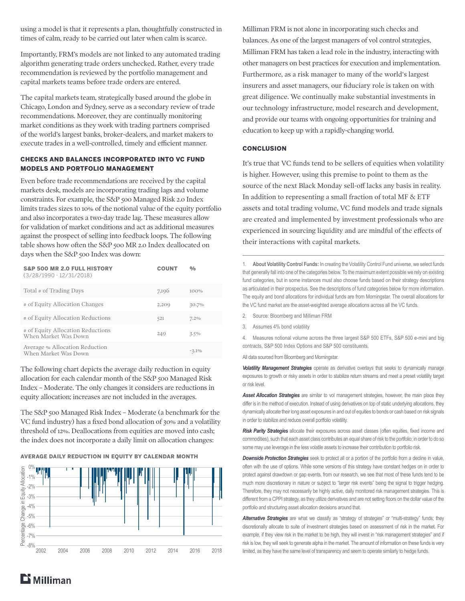using a model is that it represents a plan, thoughtfully constructed in times of calm, ready to be carried out later when calm is scarce.

Importantly, FRM's models are not linked to any automated trading algorithm generating trade orders unchecked. Rather, every trade recommendation is reviewed by the portfolio management and capital markets teams before trade orders are entered.

The capital markets team, strategically based around the globe in Chicago, London and Sydney, serve as a secondary review of trade recommendations. Moreover, they are continually monitoring market conditions as they work with trading partners comprised of the world's largest banks, broker-dealers, and market makers to execute trades in a well-controlled, timely and efficient manner.

#### CHECKS AND BALANCES INCORPORATED INTO VC FUND MODELS AND PORTFOLIO MANAGEMENT

Even before trade recommendations are received by the capital markets desk, models are incorporating trading lags and volume constraints. For example, the S&P 500 Managed Risk 2.0 Index limits trades sizes to 10% of the notional value of the equity portfolio and also incorporates a two-day trade lag. These measures allow for validation of market conditions and act as additional measures against the prospect of selling into feedback loops. The following table shows how often the S&P 500 MR 2.0 Index deallocated on days when the S&P 500 Index was down:

| <b>S&amp;P 500 MR 2.0 FULL HISTORY</b><br>$(3/28/1990 - 12/31/2018)$ | <b>COUNT</b> | 0/0      |
|----------------------------------------------------------------------|--------------|----------|
| Total # of Trading Days                                              | 7,196        | $100\%$  |
| # of Equity Allocation Changes                                       | 2,200        | 30.7%    |
| # of Equity Allocation Reductions                                    | 521          | 7.2%     |
| # of Equity Allocation Reductions<br>When Market Was Down            | 249          | 3.5%     |
| Average % Allocation Reduction<br>When Market Was Down               |              | $-3.1\%$ |

The following chart depicts the average daily reduction in equity allocation for each calendar month of the S&P 500 Managed Risk Index – Moderate. The only changes it considers are reductions in equity allocation; increases are not included in the averages.

The S&P 500 Managed Risk Index – Moderate (a benchmark for the VC fund industry) has a fixed bond allocation of 30% and a volatility threshold of 12%. Deallocations from equities are moved into cash; the index does not incorporate a daily limit on allocation changes:

AVERAGE DAILY REDUCTION IN EQUITY BY CALENDAR MONTH



Milliman FRM is not alone in incorporating such checks and balances. As one of the largest managers of vol control strategies, Milliman FRM has taken a lead role in the industry, interacting with other managers on best practices for execution and implementation. Furthermore, as a risk manager to many of the world's largest insurers and asset managers, our fiduciary role is taken on with great diligence. We continually make substantial investments in our technology infrastructure, model research and development, and provide our teams with ongoing opportunities for training and education to keep up with a rapidly-changing world.

#### **CONCLUSION**

It's true that VC funds tend to be sellers of equities when volatility is higher. However, using this premise to point to them as the source of the next Black Monday sell-off lacks any basis in reality. In addition to representing a small fraction of total MF & ETF assets and total trading volume, VC fund models and trade signals are created and implemented by investment professionals who are experienced in sourcing liquidity and are mindful of the effects of their interactions with capital markets.

1. **About Volatility Control Funds:** In creating the Volatility Control Fund universe, we select funds that generally fall into one of the categories below. To the maximum extent possible we rely on existing fund categories, but in some instances must also choose funds based on their strategy descriptions as articulated in their prospectus. See the descriptions of fund categories below for more information. The equity and bond allocations for individual funds are from Morningstar. The overall allocations for the VC fund market are the asset-weighted average allocations across all the VC funds.

- 2. Source: Bloomberg and Milliman FRM
- 3. Assumes 4% bond volatility

4. Measures notional volume across the three largest S&P 500 ETFs, S&P 500 e-mini and big contracts, S&P 500 Index Options and S&P 500 constituents.

All data sourced from Bloomberg and Morningstar.

*Volatility Management Strategies* operate as derivative overlays that seeks to dynamically manage exposures to growth or risky assets in order to stabilize return streams and meet a preset volatility target or risk level.

*Asset Allocation Strategies* are similar to vol management strategies, however, the main place they differ is in the method of execution. Instead of using derivatives on top of static underlying allocations, they dynamically allocate their long asset exposures in and out of equities to bonds or cash based on risk signals in order to stabilize and reduce overall portfolio volatility.

*Risk Parity Strategies* allocate their exposures across asset classes (often equities, fixed income and commodities), such that each asset class contributes an equal share of risk to the portfolio; in order to do so some may use leverage in the less volatile assets to increase their contribution to portfolio risk.

*Downside Protection Strategies* seek to protect all or a portion of the portfolio from a decline in value, often with the use of options. While some versions of this strategy have constant hedges on in order to protect against drawdown or gap events, from our research, we see that most of these funds tend to be much more discretionary in nature or subject to "larger risk events" being the signal to trigger hedging. Therefore, they may not necessarily be highly active, daily monitored risk management strategies. This is different from a CPPI strategy, as they utilize derivatives and are not setting floors on the dollar value of the portfolio and structuring asset allocation decisions around that.

Alternative Strategies are what we classify as "strategy of strategies" or "multi-strategy" funds; they discretionally allocate to suite of investment strategies based on assessment of risk in the market. For example, if they view risk in the market to be high, they will invest in "risk management strategies" and if risk is low, they will seek to generate alpha in the market. The amount of information on these funds is very limited, as they have the same level of transparency and seem to operate similarly to hedge funds.